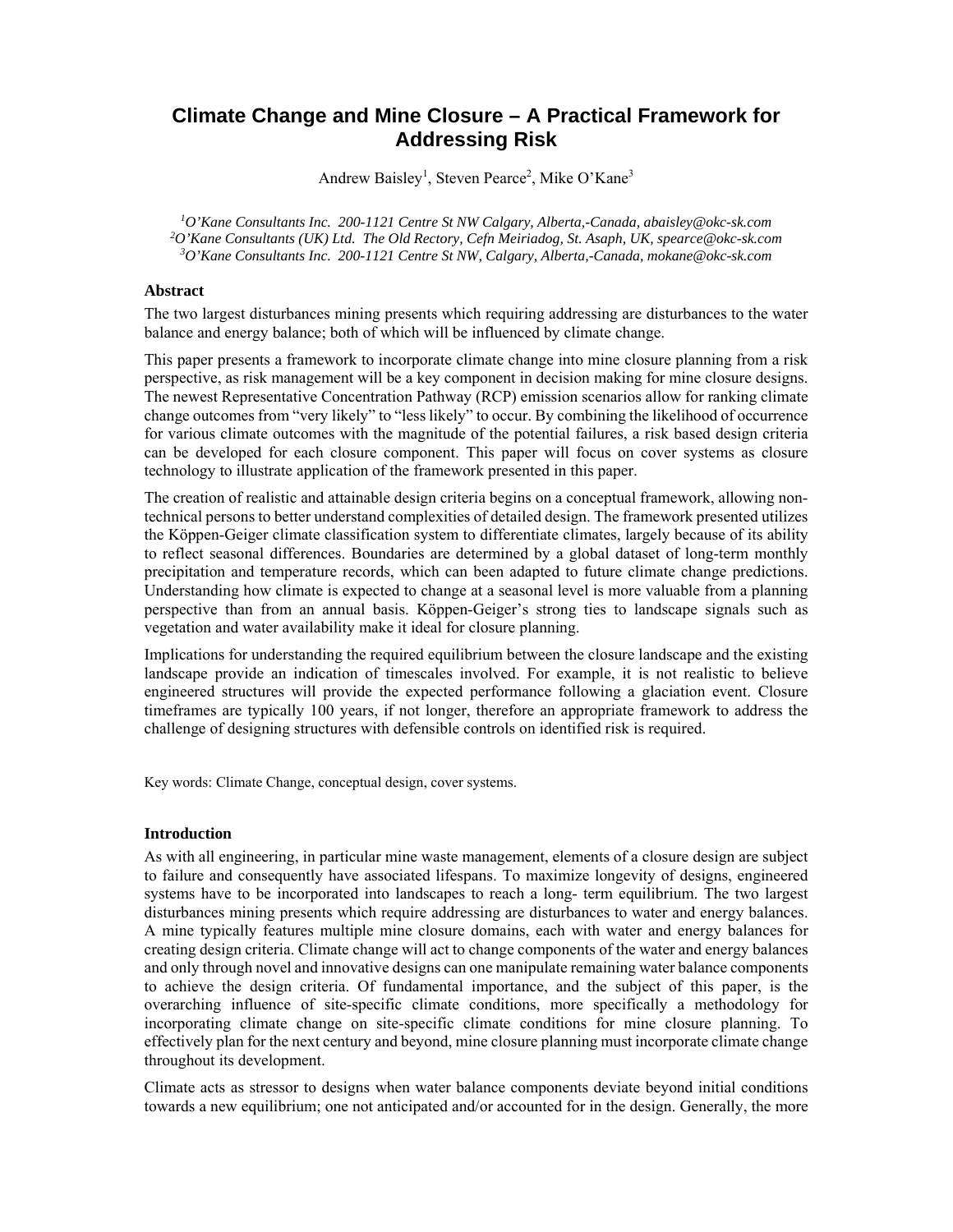# **Climate Change and Mine Closure – A Practical Framework for Addressing Risk**

Andrew Baisley<sup>1</sup>, Steven Pearce<sup>2</sup>, Mike O'Kane<sup>3</sup>

<sup>1</sup> O'Kane Consultants Inc. 200-1121 Centre St NW Calgary, Alberta,-Canada, abaisley@okc-sk.com<br><sup>2</sup>O'Kane Consultants (UK) Ltd. The Old Bestory, Cefn Meiriadog, St. Asaph UK, spearce@oks.sk.com *O'Kane Consultants (UK) Ltd. The Old Rectory, Cefn Meiriadog, St. Asaph, UK, spearce@okc-sk.com 3 O'Kane Consultants Inc. 200-1121 Centre St NW, Calgary, Alberta,-Canada, mokane@okc-sk.com*

### **Abstract**

The two largest disturbances mining presents which requiring addressing are disturbances to the water balance and energy balance; both of which will be influenced by climate change.

This paper presents a framework to incorporate climate change into mine closure planning from a risk perspective, as risk management will be a key component in decision making for mine closure designs. The newest Representative Concentration Pathway (RCP) emission scenarios allow for ranking climate change outcomes from "very likely" to "less likely" to occur. By combining the likelihood of occurrence for various climate outcomes with the magnitude of the potential failures, a risk based design criteria can be developed for each closure component. This paper will focus on cover systems as closure technology to illustrate application of the framework presented in this paper.

The creation of realistic and attainable design criteria begins on a conceptual framework, allowing nontechnical persons to better understand complexities of detailed design. The framework presented utilizes the Köppen-Geiger climate classification system to differentiate climates, largely because of its ability to reflect seasonal differences. Boundaries are determined by a global dataset of long-term monthly precipitation and temperature records, which can been adapted to future climate change predictions. Understanding how climate is expected to change at a seasonal level is more valuable from a planning perspective than from an annual basis. Köppen-Geiger's strong ties to landscape signals such as vegetation and water availability make it ideal for closure planning.

Implications for understanding the required equilibrium between the closure landscape and the existing landscape provide an indication of timescales involved. For example, it is not realistic to believe engineered structures will provide the expected performance following a glaciation event. Closure timeframes are typically 100 years, if not longer, therefore an appropriate framework to address the challenge of designing structures with defensible controls on identified risk is required.

Key words: Climate Change, conceptual design, cover systems.

#### **Introduction**

As with all engineering, in particular mine waste management, elements of a closure design are subject to failure and consequently have associated lifespans. To maximize longevity of designs, engineered systems have to be incorporated into landscapes to reach a long- term equilibrium. The two largest disturbances mining presents which require addressing are disturbances to water and energy balances. A mine typically features multiple mine closure domains, each with water and energy balances for creating design criteria. Climate change will act to change components of the water and energy balances and only through novel and innovative designs can one manipulate remaining water balance components to achieve the design criteria. Of fundamental importance, and the subject of this paper, is the overarching influence of site-specific climate conditions, more specifically a methodology for incorporating climate change on site-specific climate conditions for mine closure planning. To effectively plan for the next century and beyond, mine closure planning must incorporate climate change throughout its development.

Climate acts as stressor to designs when water balance components deviate beyond initial conditions towards a new equilibrium; one not anticipated and/or accounted for in the design. Generally, the more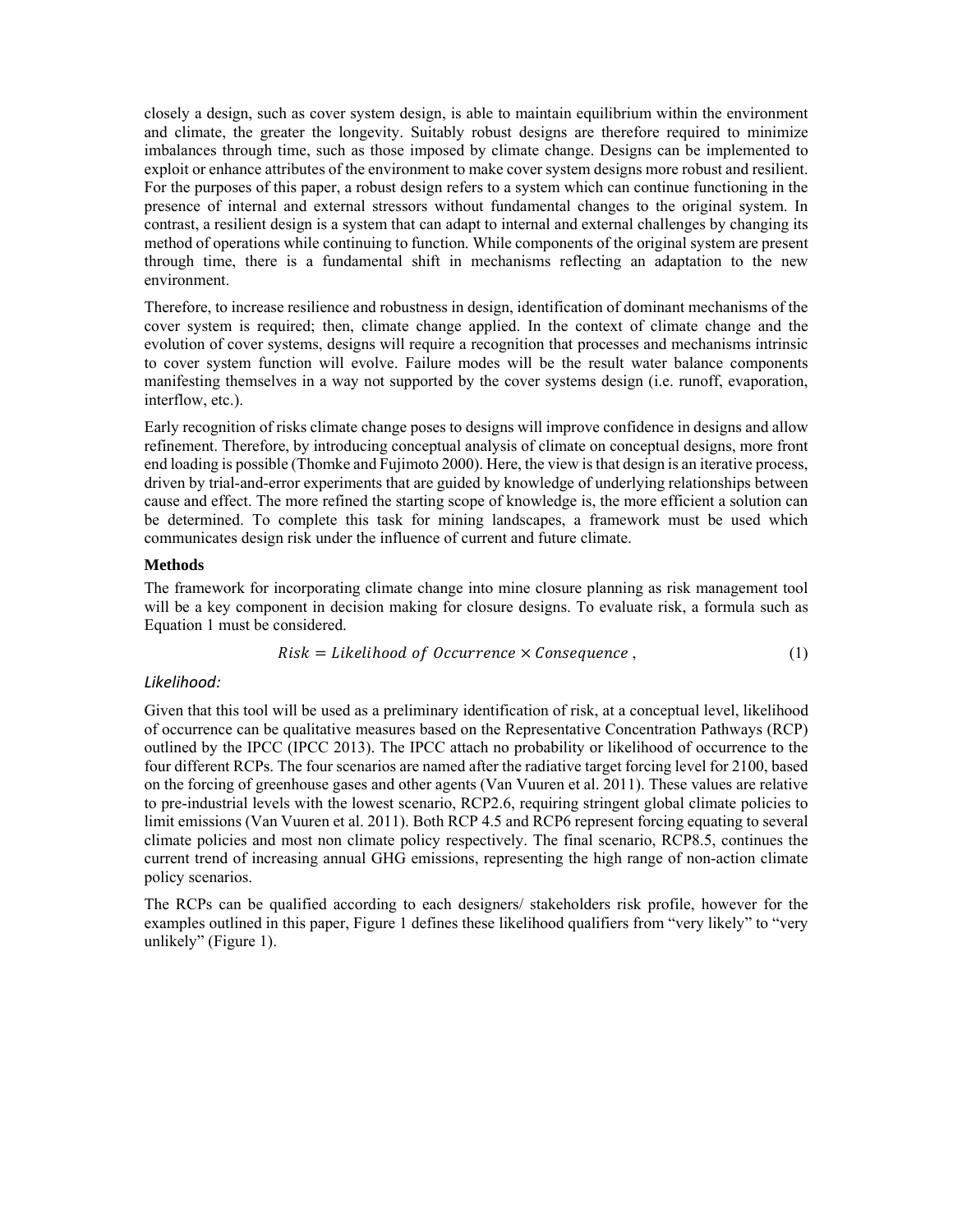closely a design, such as cover system design, is able to maintain equilibrium within the environment and climate, the greater the longevity. Suitably robust designs are therefore required to minimize imbalances through time, such as those imposed by climate change. Designs can be implemented to exploit or enhance attributes of the environment to make cover system designs more robust and resilient. For the purposes of this paper, a robust design refers to a system which can continue functioning in the presence of internal and external stressors without fundamental changes to the original system. In contrast, a resilient design is a system that can adapt to internal and external challenges by changing its method of operations while continuing to function. While components of the original system are present through time, there is a fundamental shift in mechanisms reflecting an adaptation to the new environment.

Therefore, to increase resilience and robustness in design, identification of dominant mechanisms of the cover system is required; then, climate change applied. In the context of climate change and the evolution of cover systems, designs will require a recognition that processes and mechanisms intrinsic to cover system function will evolve. Failure modes will be the result water balance components manifesting themselves in a way not supported by the cover systems design (i.e. runoff, evaporation, interflow, etc.).

Early recognition of risks climate change poses to designs will improve confidence in designs and allow refinement. Therefore, by introducing conceptual analysis of climate on conceptual designs, more front end loading is possible (Thomke and Fujimoto 2000). Here, the view is that design is an iterative process, driven by trial-and-error experiments that are guided by knowledge of underlying relationships between cause and effect. The more refined the starting scope of knowledge is, the more efficient a solution can be determined. To complete this task for mining landscapes, a framework must be used which communicates design risk under the influence of current and future climate.

#### **Methods**

The framework for incorporating climate change into mine closure planning as risk management tool will be a key component in decision making for closure designs. To evaluate risk, a formula such as Equation 1 must be considered.

$$
Risk = Likelihood of Occurrence \times Consequence , \qquad (1)
$$

### *Likelihood:*

Given that this tool will be used as a preliminary identification of risk, at a conceptual level, likelihood of occurrence can be qualitative measures based on the Representative Concentration Pathways (RCP) outlined by the IPCC (IPCC 2013). The IPCC attach no probability or likelihood of occurrence to the four different RCPs. The four scenarios are named after the radiative target forcing level for 2100, based on the forcing of greenhouse gases and other agents (Van Vuuren et al. 2011). These values are relative to pre-industrial levels with the lowest scenario, RCP2.6, requiring stringent global climate policies to limit emissions (Van Vuuren et al. 2011). Both RCP 4.5 and RCP6 represent forcing equating to several climate policies and most non climate policy respectively. The final scenario, RCP8.5, continues the current trend of increasing annual GHG emissions, representing the high range of non-action climate policy scenarios.

The RCPs can be qualified according to each designers/ stakeholders risk profile, however for the examples outlined in this paper, Figure 1 defines these likelihood qualifiers from "very likely" to "very unlikely" (Figure 1).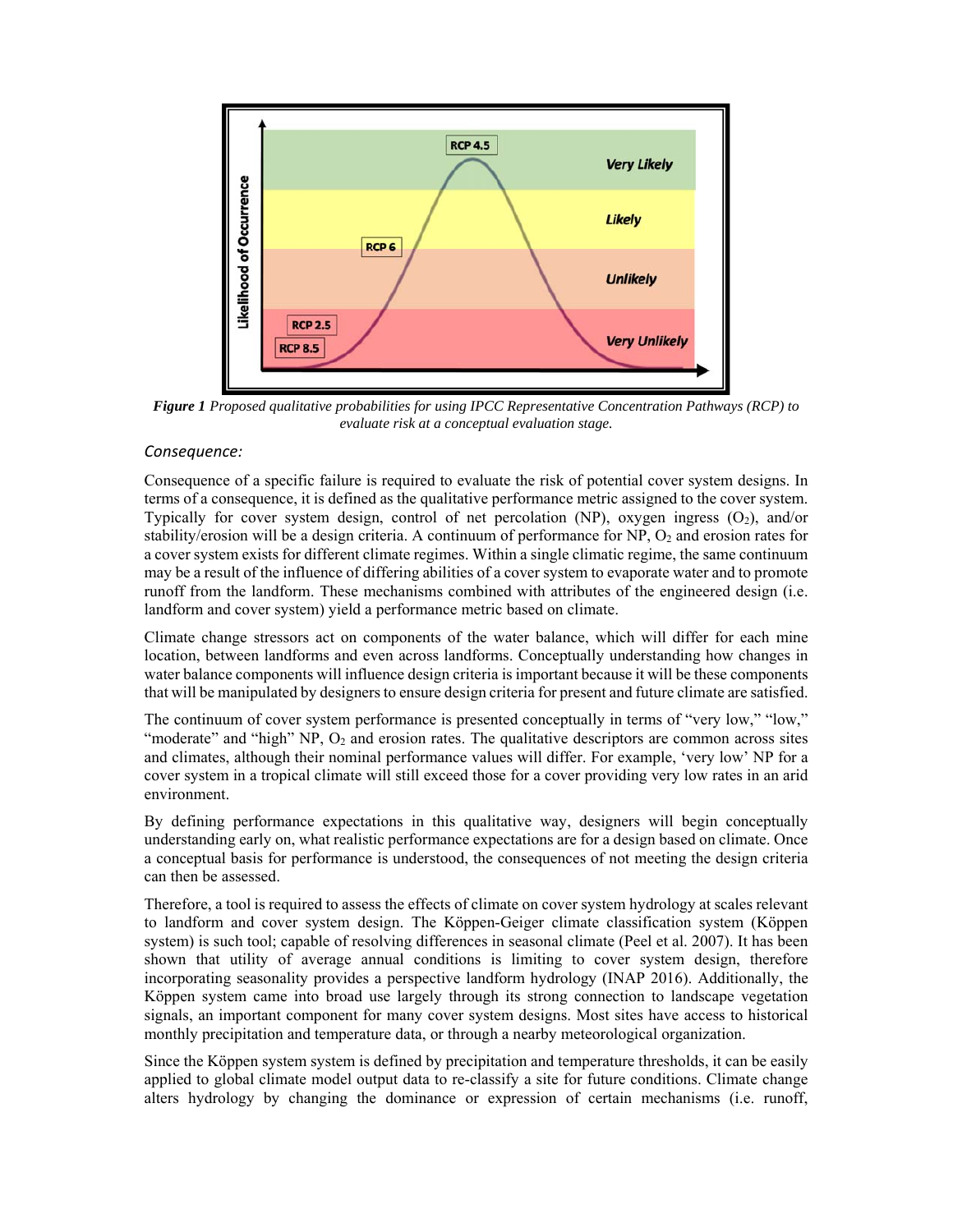

*Figure 1 Proposed qualitative probabilities for using IPCC Representative Concentration Pathways (RCP) to evaluate risk at a conceptual evaluation stage.* 

### *Consequence:*

Consequence of a specific failure is required to evaluate the risk of potential cover system designs. In terms of a consequence, it is defined as the qualitative performance metric assigned to the cover system. Typically for cover system design, control of net percolation (NP), oxygen ingress  $(O<sub>2</sub>)$ , and/or stability/erosion will be a design criteria. A continuum of performance for  $NP$ ,  $O_2$  and erosion rates for a cover system exists for different climate regimes. Within a single climatic regime, the same continuum may be a result of the influence of differing abilities of a cover system to evaporate water and to promote runoff from the landform. These mechanisms combined with attributes of the engineered design (i.e. landform and cover system) yield a performance metric based on climate.

Climate change stressors act on components of the water balance, which will differ for each mine location, between landforms and even across landforms. Conceptually understanding how changes in water balance components will influence design criteria is important because it will be these components that will be manipulated by designers to ensure design criteria for present and future climate are satisfied.

The continuum of cover system performance is presented conceptually in terms of "very low," "low," "moderate" and "high"  $NP$ ,  $O_2$  and erosion rates. The qualitative descriptors are common across sites and climates, although their nominal performance values will differ. For example, 'very low' NP for a cover system in a tropical climate will still exceed those for a cover providing very low rates in an arid environment.

By defining performance expectations in this qualitative way, designers will begin conceptually understanding early on, what realistic performance expectations are for a design based on climate. Once a conceptual basis for performance is understood, the consequences of not meeting the design criteria can then be assessed.

Therefore, a tool is required to assess the effects of climate on cover system hydrology at scales relevant to landform and cover system design. The Köppen-Geiger climate classification system (Köppen system) is such tool; capable of resolving differences in seasonal climate (Peel et al. 2007). It has been shown that utility of average annual conditions is limiting to cover system design, therefore incorporating seasonality provides a perspective landform hydrology (INAP 2016). Additionally, the Köppen system came into broad use largely through its strong connection to landscape vegetation signals, an important component for many cover system designs. Most sites have access to historical monthly precipitation and temperature data, or through a nearby meteorological organization.

Since the Köppen system system is defined by precipitation and temperature thresholds, it can be easily applied to global climate model output data to re-classify a site for future conditions. Climate change alters hydrology by changing the dominance or expression of certain mechanisms (i.e. runoff,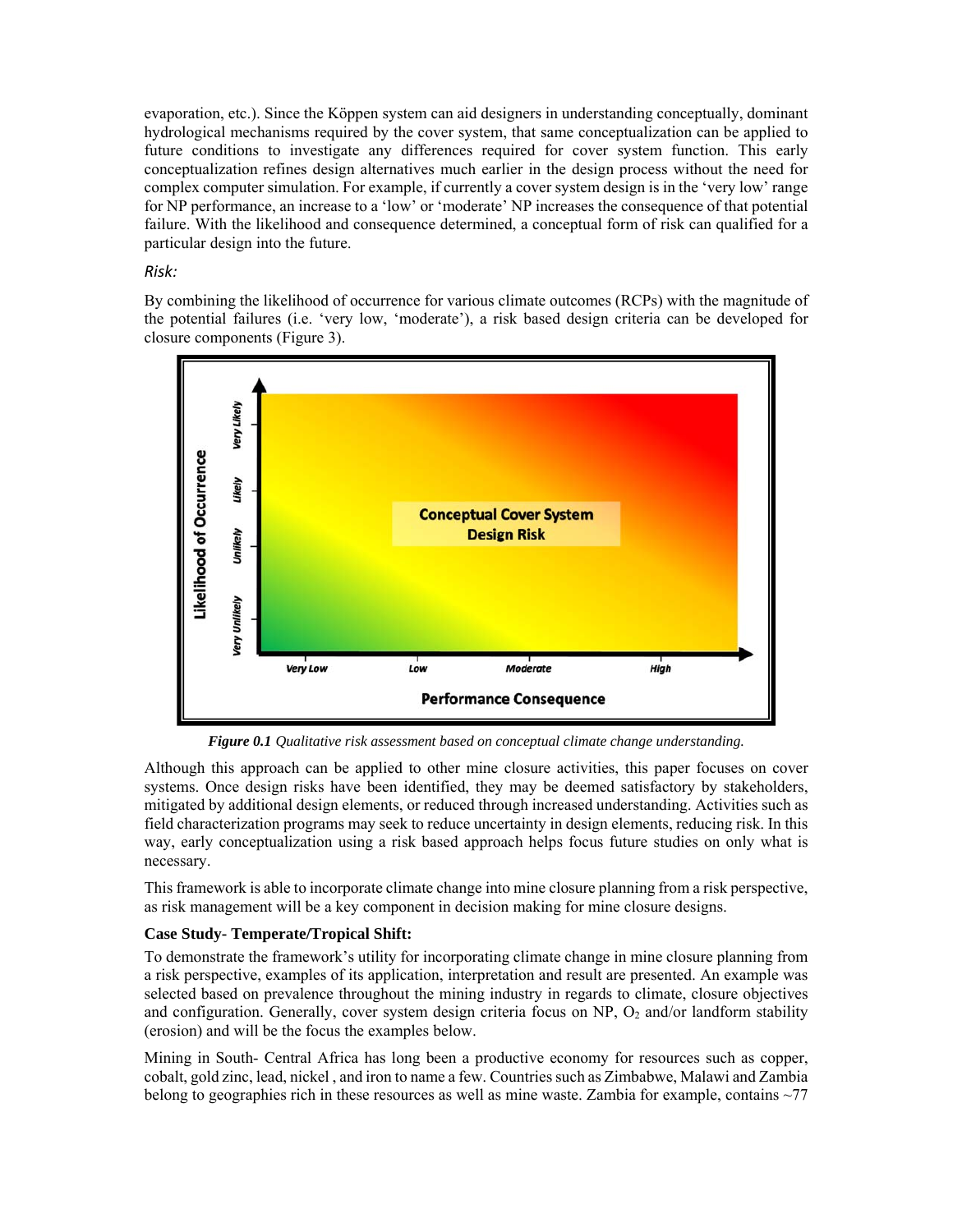evaporation, etc.). Since the Köppen system can aid designers in understanding conceptually, dominant hydrological mechanisms required by the cover system, that same conceptualization can be applied to future conditions to investigate any differences required for cover system function. This early conceptualization refines design alternatives much earlier in the design process without the need for complex computer simulation. For example, if currently a cover system design is in the 'very low' range for NP performance, an increase to a 'low' or 'moderate' NP increases the consequence of that potential failure. With the likelihood and consequence determined, a conceptual form of risk can qualified for a particular design into the future.

### *Risk:*

By combining the likelihood of occurrence for various climate outcomes (RCPs) with the magnitude of the potential failures (i.e. 'very low, 'moderate'), a risk based design criteria can be developed for closure components (Figure 3).



*Figure 0.1 Qualitative risk assessment based on conceptual climate change understanding.*

Although this approach can be applied to other mine closure activities, this paper focuses on cover systems. Once design risks have been identified, they may be deemed satisfactory by stakeholders, mitigated by additional design elements, or reduced through increased understanding. Activities such as field characterization programs may seek to reduce uncertainty in design elements, reducing risk. In this way, early conceptualization using a risk based approach helps focus future studies on only what is necessary.

This framework is able to incorporate climate change into mine closure planning from a risk perspective, as risk management will be a key component in decision making for mine closure designs.

### **Case Study- Temperate/Tropical Shift:**

To demonstrate the framework's utility for incorporating climate change in mine closure planning from a risk perspective, examples of its application, interpretation and result are presented. An example was selected based on prevalence throughout the mining industry in regards to climate, closure objectives and configuration. Generally, cover system design criteria focus on NP,  $O_2$  and/or landform stability (erosion) and will be the focus the examples below.

Mining in South- Central Africa has long been a productive economy for resources such as copper, cobalt, gold zinc, lead, nickel , and iron to name a few. Countries such as Zimbabwe, Malawi and Zambia belong to geographies rich in these resources as well as mine waste. Zambia for example, contains ~77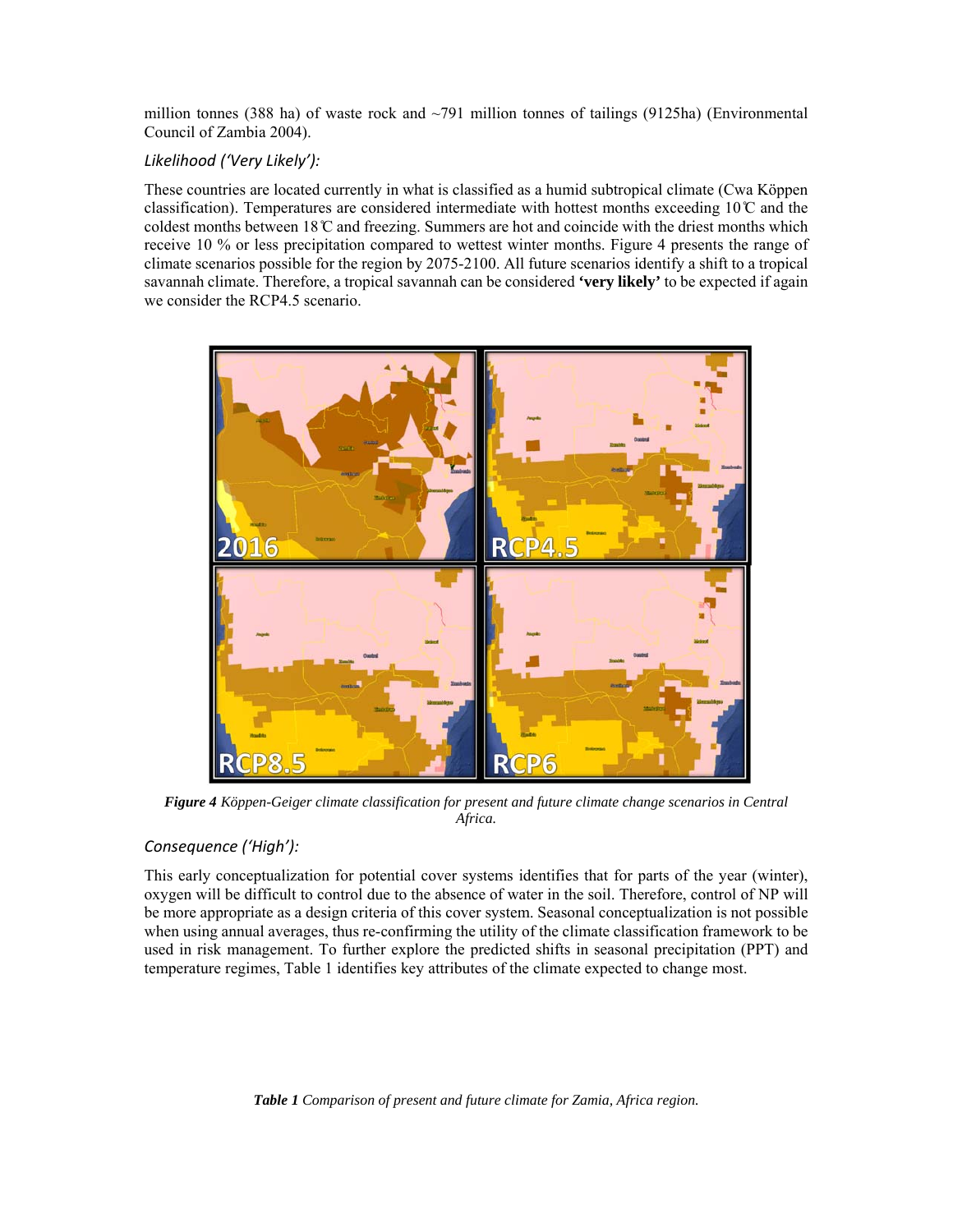million tonnes (388 ha) of waste rock and  $\sim$ 791 million tonnes of tailings (9125ha) (Environmental Council of Zambia 2004).

## *Likelihood ('Very Likely'):*

These countries are located currently in what is classified as a humid subtropical climate (Cwa Köppen classification). Temperatures are considered intermediate with hottest months exceeding  $10^{\circ}$  and the coldest months between  $18^\circ$ C and freezing. Summers are hot and coincide with the driest months which receive 10 % or less precipitation compared to wettest winter months. Figure 4 presents the range of climate scenarios possible for the region by 2075-2100. All future scenarios identify a shift to a tropical savannah climate. Therefore, a tropical savannah can be considered **'very likely'** to be expected if again we consider the RCP4.5 scenario.



*Figure 4 Köppen-Geiger climate classification for present and future climate change scenarios in Central Africa.*

## *Consequence ('High'):*

This early conceptualization for potential cover systems identifies that for parts of the year (winter), oxygen will be difficult to control due to the absence of water in the soil. Therefore, control of NP will be more appropriate as a design criteria of this cover system. Seasonal conceptualization is not possible when using annual averages, thus re-confirming the utility of the climate classification framework to be used in risk management. To further explore the predicted shifts in seasonal precipitation (PPT) and temperature regimes, Table 1 identifies key attributes of the climate expected to change most.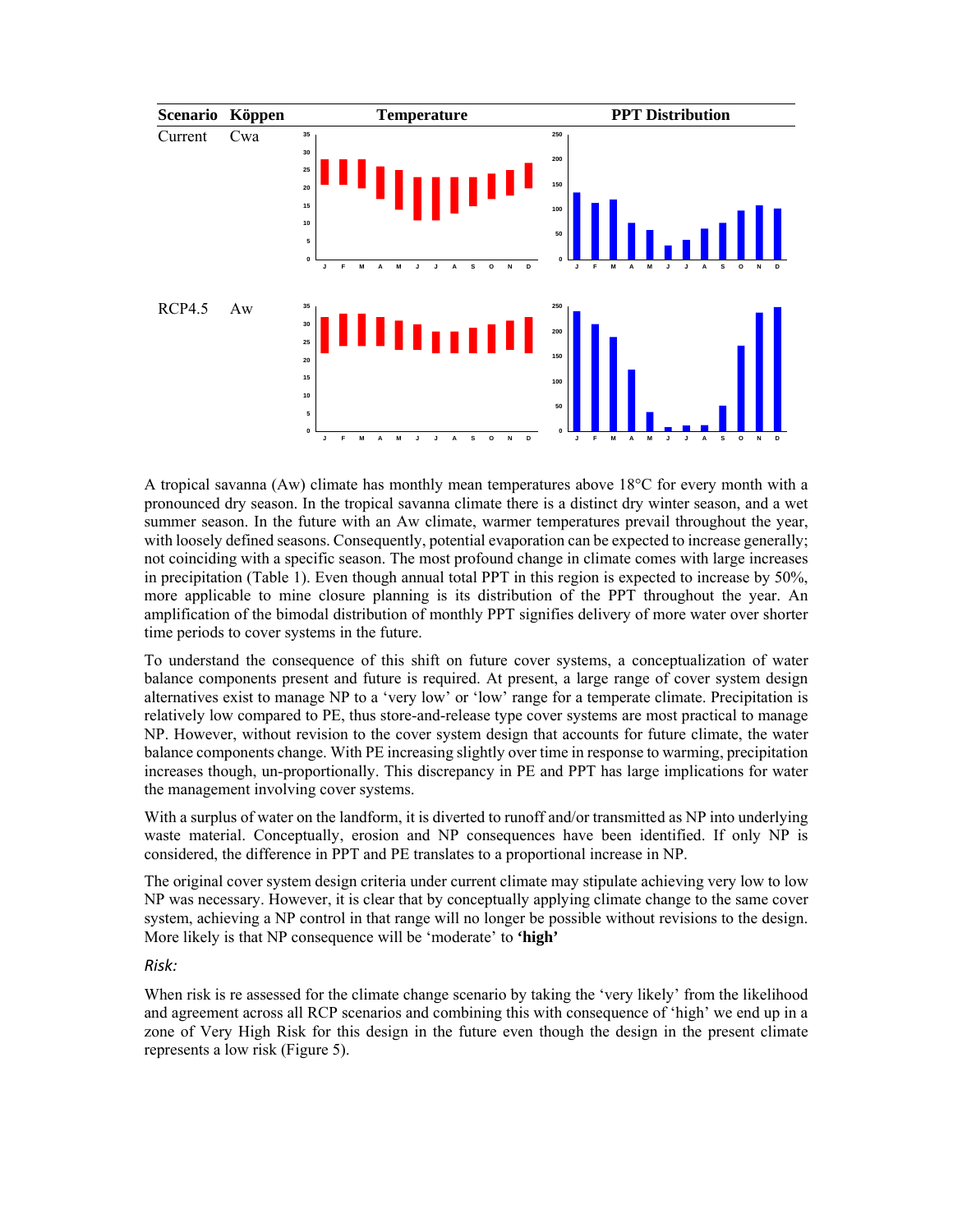

A tropical savanna (Aw) climate has monthly mean temperatures above 18°C for every month with a pronounced dry season. In the tropical savanna climate there is a distinct dry winter season, and a wet summer season. In the future with an Aw climate, warmer temperatures prevail throughout the year, with loosely defined seasons. Consequently, potential evaporation can be expected to increase generally; not coinciding with a specific season. The most profound change in climate comes with large increases in precipitation (Table 1). Even though annual total PPT in this region is expected to increase by 50%, more applicable to mine closure planning is its distribution of the PPT throughout the year. An amplification of the bimodal distribution of monthly PPT signifies delivery of more water over shorter time periods to cover systems in the future.

To understand the consequence of this shift on future cover systems, a conceptualization of water balance components present and future is required. At present, a large range of cover system design alternatives exist to manage NP to a 'very low' or 'low' range for a temperate climate. Precipitation is relatively low compared to PE, thus store-and-release type cover systems are most practical to manage NP. However, without revision to the cover system design that accounts for future climate, the water balance components change. With PE increasing slightly over time in response to warming, precipitation increases though, un-proportionally. This discrepancy in PE and PPT has large implications for water the management involving cover systems.

With a surplus of water on the landform, it is diverted to runoff and/or transmitted as NP into underlying waste material. Conceptually, erosion and NP consequences have been identified. If only NP is considered, the difference in PPT and PE translates to a proportional increase in NP.

The original cover system design criteria under current climate may stipulate achieving very low to low NP was necessary. However, it is clear that by conceptually applying climate change to the same cover system, achieving a NP control in that range will no longer be possible without revisions to the design. More likely is that NP consequence will be 'moderate' to **'high'**

### *Risk:*

When risk is re assessed for the climate change scenario by taking the 'very likely' from the likelihood and agreement across all RCP scenarios and combining this with consequence of 'high' we end up in a zone of Very High Risk for this design in the future even though the design in the present climate represents a low risk (Figure 5).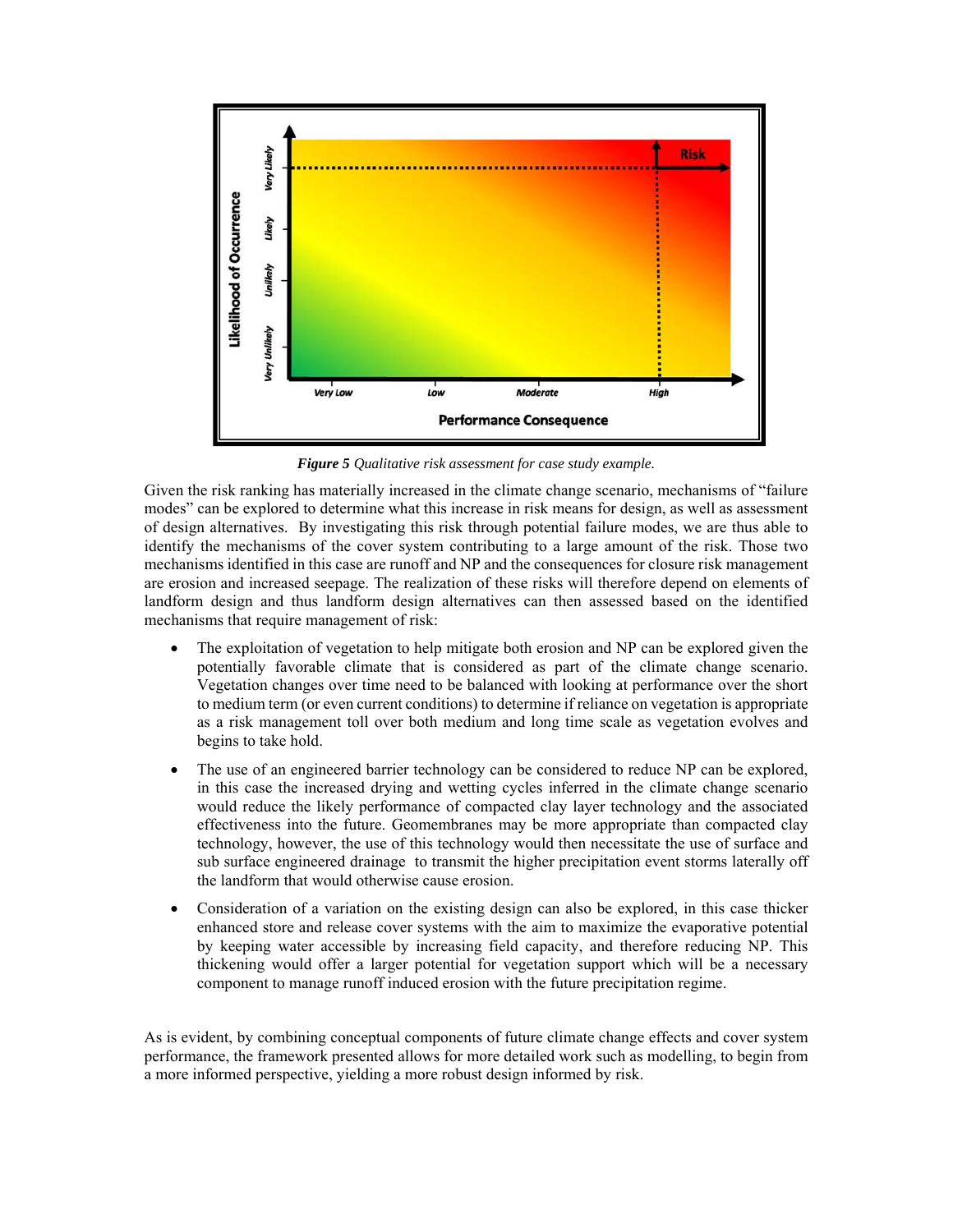

*Figure 5 Qualitative risk assessment for case study example.*

Given the risk ranking has materially increased in the climate change scenario, mechanisms of "failure modes" can be explored to determine what this increase in risk means for design, as well as assessment of design alternatives. By investigating this risk through potential failure modes, we are thus able to identify the mechanisms of the cover system contributing to a large amount of the risk. Those two mechanisms identified in this case are runoff and NP and the consequences for closure risk management are erosion and increased seepage. The realization of these risks will therefore depend on elements of landform design and thus landform design alternatives can then assessed based on the identified mechanisms that require management of risk:

- The exploitation of vegetation to help mitigate both erosion and NP can be explored given the potentially favorable climate that is considered as part of the climate change scenario. Vegetation changes over time need to be balanced with looking at performance over the short to medium term (or even current conditions) to determine if reliance on vegetation is appropriate as a risk management toll over both medium and long time scale as vegetation evolves and begins to take hold.
- The use of an engineered barrier technology can be considered to reduce NP can be explored, in this case the increased drying and wetting cycles inferred in the climate change scenario would reduce the likely performance of compacted clay layer technology and the associated effectiveness into the future. Geomembranes may be more appropriate than compacted clay technology, however, the use of this technology would then necessitate the use of surface and sub surface engineered drainage to transmit the higher precipitation event storms laterally off the landform that would otherwise cause erosion.
- Consideration of a variation on the existing design can also be explored, in this case thicker enhanced store and release cover systems with the aim to maximize the evaporative potential by keeping water accessible by increasing field capacity, and therefore reducing NP. This thickening would offer a larger potential for vegetation support which will be a necessary component to manage runoff induced erosion with the future precipitation regime.

As is evident, by combining conceptual components of future climate change effects and cover system performance, the framework presented allows for more detailed work such as modelling, to begin from a more informed perspective, yielding a more robust design informed by risk.